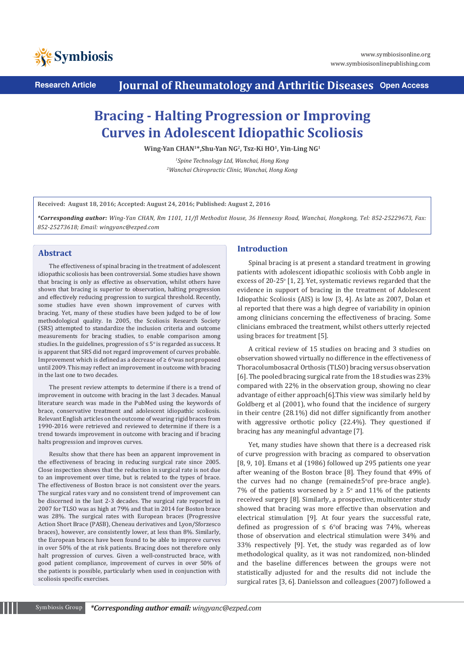

**Research Article Journal of Rheumatology and Arthritic Diseases Open Access**

# **Bracing - Halting Progression or Improving Curves in Adolescent Idiopathic Scoliosis**

**Wing-Yan CHAN<sup>1</sup>\*,Shu-Yan NG<sup>2</sup> , Tsz-Ki HO<sup>1</sup> , Yin-Ling NG<sup>1</sup>**

*<sup>1</sup>Spine Technology Ltd, Wanchai, Hong Kong <sup>2</sup>Wanchai Chiropractic Clinic, Wanchai, Hong Kong*

**Received: August 18, 2016; Accepted: August 24, 2016; Published: August 2, 2016**

*\*Corresponding author: Wing-Yan CHAN, Rm 1101, 11/fl Methodist House, 36 Hennessy Road, Wanchai, Hongkong, Tel: 852-25229673, Fax: 852-25273618; Email: wingyanc@ezped.com*

# **Abstract**

The effectiveness of spinal bracing in the treatment of adolescent idiopathic scoliosis has been controversial. Some studies have shown that bracing is only as effective as observation, whilst others have shown that bracing is superior to observation, halting progression and effectively reducing progression to surgical threshold. Recently, some studies have even shown improvement of curves with bracing. Yet, many of these studies have been judged to be of low methodological quality. In 2005, the Scoliosis Research Society (SRS) attempted to standardize the inclusion criteria and outcome measurements for bracing studies, to enable comparison among studies. In the guidelines, progression of  $\leq 5^{\circ}$  is regarded as success. It is apparent that SRS did not regard improvement of curves probable. Improvement which is defined as a decrease of  $\geq 6^{\circ}$  was not proposed until 2009. This may reflect an improvement in outcome with bracing in the last one to two decades.

The present review attempts to determine if there is a trend of improvement in outcome with bracing in the last 3 decades. Manual literature search was made in the PubMed using the keywords of brace, conservative treatment and adolescent idiopathic scoliosis. Relevant English articles on the outcome of wearing rigid braces from 1990-2016 were retrieved and reviewed to determine if there is a trend towards improvement in outcome with bracing and if bracing halts progression and improves curves.

Results show that there has been an apparent improvement in the effectiveness of bracing in reducing surgical rate since 2005. Close inspection shows that the reduction in surgical rate is not due to an improvement over time, but is related to the types of brace. The effectiveness of Boston brace is not consistent over the years. The surgical rates vary and no consistent trend of improvement can be discerned in the last 2-3 decades. The surgical rate reported in 2007 for TLSO was as high at 79% and that in 2014 for Boston brace was 28%. The surgical rates with European braces (Progressive Action Short Brace (PASB), Cheneau derivatives and Lyon/Sforzesco braces), however, are consistently lower, at less than 8%. Similarly, the European braces have been found to be able to improve curves in over 50% of the at risk patients. Bracing does not therefore only halt progression of curves. Given a well-constructed brace, with good patient compliance, improvement of curves in over 50% of the patients is possible, particularly when used in conjunction with scoliosis specific exercises.

# **Introduction**

Spinal bracing is at present a standard treatment in growing patients with adolescent idiopathic scoliosis with Cobb angle in excess of 20-25 $\degree$  [1, 2]. Yet, systematic reviews regarded that the evidence in support of bracing in the treatment of Adolescent Idiopathic Scoliosis (AIS) is low [3, 4]. As late as 2007, Dolan et al reported that there was a high degree of variability in opinion among clinicians concerning the effectiveness of bracing. Some clinicians embraced the treatment, whilst others utterly rejected using braces for treatment [5].

A critical review of 15 studies on bracing and 3 studies on observation showed virtually no difference in the effectiveness of Thoracolumbosacral Orthosis (TLSO) bracing versus observation [6]. The pooled bracing surgical rate from the 18 studies was 23% compared with 22% in the observation group, showing no clear advantage of either approach[6].This view was similarly held by Goldberg et al (2001), who found that the incidence of surgery in their centre (28.1%) did not differ significantly from another with aggressive orthotic policy (22.4%). They questioned if bracing has any meaningful advantage [7].

Yet, many studies have shown that there is a decreased risk of curve progression with bracing as compared to observation [8, 9, 10]. Emans et al (1986) followed up 295 patients one year after weaning of the Boston brace [8]. They found that 49% of the curves had no change (remained±5°of pre-brace angle). 7% of the patients worsened by  $\geq 5^{\circ}$  and 11% of the patients received surgery [8]. Similarly, a prospective, multicenter study showed that bracing was more effective than observation and electrical stimulation [9]. At four years the successful rate, defined as progression of  $\leq 6°$  of bracing was 74%, whereas those of observation and electrical stimulation were 34% and 33% respectively [9]. Yet, the study was regarded as of low methodological quality, as it was not randomized, non-blinded and the baseline differences between the groups were not statistically adjusted for and the results did not include the surgical rates [3, 6]. Danielsson and colleagues (2007) followed a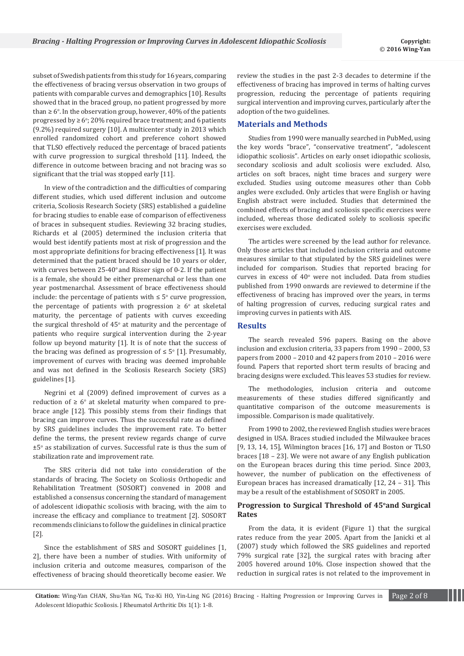subset of Swedish patients from this study for 16 years, comparing the effectiveness of bracing versus observation in two groups of patients with comparable curves and demographics [10]. Results showed that in the braced group, no patient progressed by more than  $\geq 6^\circ$ . In the observation group, however, 40% of the patients progressed by ≥  $6^{\circ}$ ; 20% required brace treatment; and 6 patients (9.2%) required surgery [10]. A multicenter study in 2013 which enrolled randomized cohort and preference cohort showed that TLSO effectively reduced the percentage of braced patients with curve progression to surgical threshold [11]. Indeed, the difference in outcome between bracing and not bracing was so significant that the trial was stopped early [11].

In view of the contradiction and the difficulties of comparing different studies, which used different inclusion and outcome criteria, Scoliosis Research Society (SRS) established a guideline for bracing studies to enable ease of comparison of effectiveness of braces in subsequent studies. Reviewing 32 bracing studies, Richards et al (2005) determined the inclusion criteria that would best identify patients most at risk of progression and the most appropriate definitions for bracing effectiveness [1]. It was determined that the patient braced should be 10 years or older, with curves between  $25-40^{\circ}$  and Risser sign of 0-2. If the patient is a female, she should be either premenarchal or less than one year postmenarchal. Assessment of brace effectiveness should include: the percentage of patients with ≤  $5^{\circ}$  curve progression, the percentage of patients with progression  $\geq 6^{\circ}$  at skeletal maturity, the percentage of patients with curves exceeding the surgical threshold of  $45^{\circ}$  at maturity and the percentage of patients who require surgical intervention during the 2-year follow up beyond maturity [1]. It is of note that the success of the bracing was defined as progression of  $\leq 5^{\circ}$  [1]. Presumably, improvement of curves with bracing was deemed improbable and was not defined in the Scoliosis Research Society (SRS) guidelines [1].

Negrini et al (2009) defined improvement of curves as a reduction of  $\geq 6^{\circ}$  at skeletal maturity when compared to prebrace angle [12]. This possibly stems from their findings that bracing can improve curves. Thus the successful rate as defined by SRS guidelines includes the improvement rate. To better define the terms, the present review regards change of curve  $\pm 5^\circ$  as stabilization of curves. Successful rate is thus the sum of stabilization rate and improvement rate.

The SRS criteria did not take into consideration of the standards of bracing. The Society on Scoliosis Orthopedic and Rehabilitation Treatment (SOSORT) convened in 2008 and established a consensus concerning the standard of management of adolescent idiopathic scoliosis with bracing, with the aim to increase the efficacy and compliance to treatment [2]. SOSORT recommends clinicians to follow the guidelines in clinical practice [2].

Since the establishment of SRS and SOSORT guidelines [1, 2], there have been a number of studies. With uniformity of inclusion criteria and outcome measures, comparison of the effectiveness of bracing should theoretically become easier. We review the studies in the past 2-3 decades to determine if the effectiveness of bracing has improved in terms of halting curves progression, reducing the percentage of patients requiring surgical intervention and improving curves, particularly after the adoption of the two guidelines.

## **Materials and Methods**

Studies from 1990 were manually searched in PubMed, using the key words "brace", "conservative treatment", "adolescent idiopathic scoliosis". Articles on early onset idiopathic scoliosis, secondary scoliosis and adult scoliosis were excluded. Also, articles on soft braces, night time braces and surgery were excluded. Studies using outcome measures other than Cobb angles were excluded. Only articles that were English or having English abstract were included. Studies that determined the combined effects of bracing and scoliosis specific exercises were included, whereas those dedicated solely to scoliosis specific exercises were excluded.

The articles were screened by the lead author for relevance. Only those articles that included inclusion criteria and outcome measures similar to that stipulated by the SRS guidelines were included for comparison. Studies that reported bracing for curves in excess of  $40^{\circ}$  were not included. Data from studies published from 1990 onwards are reviewed to determine if the effectiveness of bracing has improved over the years, in terms of halting progression of curves, reducing surgical rates and improving curves in patients with AIS.

#### **Results**

The search revealed 596 papers. Basing on the above inclusion and exclusion criteria, 33 papers from 1990 – 2000, 53 papers from 2000 – 2010 and 42 papers from 2010 – 2016 were found. Papers that reported short term results of bracing and bracing designs were excluded. This leaves 53 studies for review.

The methodologies, inclusion criteria and outcome measurements of these studies differed significantly and quantitative comparison of the outcome measurements is impossible. Comparison is made qualitatively.

From 1990 to 2002, the reviewed English studies were braces designed in USA. Braces studied included the Milwaukee braces [9, 13, 14, 15], Wilmington braces [16, 17] and Boston or TLSO braces [18 – 23]. We were not aware of any English publication on the European braces during this time period. Since 2003, however, the number of publication on the effectiveness of European braces has increased dramatically [12, 24 – 31]. This may be a result of the establishment of SOSORT in 2005.

### **Progression to Surgical Threshold of 45<sup>o</sup>and Surgical Rates**

From the data, it is evident (Figure 1) that the surgical rates reduce from the year 2005. Apart from the Janicki et al (2007) study which followed the SRS guidelines and reported 79% surgical rate [32], the surgical rates with bracing after 2005 hovered around 10%. Close inspection showed that the reduction in surgical rates is not related to the improvement in

**Citation:** Wing-Yan CHAN, Shu-Yan NG, Tsz-Ki HO, Yin-Ling NG (2016) Bracing - Halting Progression or Improving Curves in Page 2 of 8 Adolescent Idiopathic Scoliosis. J Rheumatol Arthritic Dis 1(1): 1-8.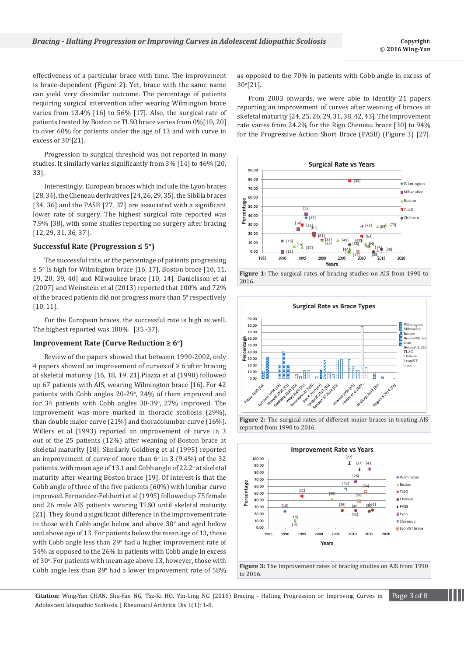effectiveness of a particular brace with time. The improvement is brace-dependent (Figure 2). Yet, brace with the same name can yield very dissimilar outcome. The percentage of patients requiring surgical intervention after wearing Wilmington brace varies from 13.4% [16] to 56% [17]. Also, the surgical rate of patients treated by Boston or TLSO brace varies from 0%[10, 20] to over 60% for patients under the age of 13 and with curve in excess of  $30^{\circ}[21]$ .

Progression to surgical threshold was not reported in many studies. It similarly varies significantly from 3% [14] to 46% [20, 33].

Interestingly, European braces which include the Lyon braces [28, 34], the Cheneau derivatives [24, 26, 29, 35], the Sibilla braces [34, 36] and the PASB [27, 37] are associated with a significant lower rate of surgery. The highest surgical rate reported was 7.9% [38], with some studies reporting no surgery after bracing [12, 29, 31, 36, 37 ].

#### **Successful Rate (Progression ≤ 5<sup>o</sup> )**

The successful rate, or the percentage of patients progressing ≤ 5<sup>o</sup> is high for Wilmington brace [16, 17], Boston brace [10, 11, 19, 20, 39, 40] and Milwaukee brace [10, 14]. Danielsson et al (2007) and Weinstein et al (2013) reported that 100% and 72% of the braced patients did not progress more than 5° respectively [10, 11].

For the European braces, the successful rate is high as well. The highest reported was 100% [35 -37].

#### **Improvement Rate (Curve Reduction ≥ 6<sup>o</sup> )**

Review of the papers showed that between 1990-2002, only 4 papers showed an improvement of curves of ≥ 6°after bracing at skeletal maturity [16, 18, 19, 21].Piazza et al (1990) followed up 67 patients with AIS, wearing Wilmington brace [16]. For 42 patients with Cobb angles 20-29°, 24% of them improved and for 34 patients with Cobb angles 30-39°, 27% improved. The improvement was more marked in thoracic scoliosis (29%), than double major curve (21%) and thoracolumbar curve (16%). Willers et al (1993) reported an improvement of curve in 3 out of the 25 patients (12%) after weaning of Boston brace at skeletal maturity [18]. Similarly Goldberg et al (1995) reported an improvement of curve of more than  $6^{\circ}$  in 3 (9.4%) of the 32 patients, with mean age of 13.1 and Cobb angle of 22.2° at skeletal maturity after wearing Boston brace [19]. Of interest is that the Cobb angle of three of the five patients (60%) with lumbar curve improved. Fernandez-Feliberti et al (1995) followed up 75 female and 26 male AIS patients wearing TLSO until skeletal maturity [21]. They found a significant difference in the improvement rate in those with Cobb angle below and above  $30^{\circ}$  and aged below and above age of 13. For patients below the mean age of 13, those with Cobb angle less than 29° had a higher improvement rate of 54% as opposed to the 26% in patients with Cobb angle in excess of 30°. For patients with mean age above 13, however, those with Cobb angle less than  $29^{\circ}$  had a lower improvement rate of  $58\%$  as opposed to the 70% in patients with Cobb angle in excess of 30<sup>o</sup> [21].

From 2003 onwards, we were able to identify 21 papers reporting an improvement of curves after weaning of braces at skeletal maturity [24, 25, 26, 29, 31, 38, 42, 43]. The improvement rate varies from 24.2% for the Rigo Cheneau brace [30] to 94% for the Progressive Action Short Brace (PASB) (Figure 3) [27].











**Figure 3:** The improvement rates of bracing studies on AIS from 1990 to 2016.

**Citation:** Wing-Yan CHAN, Shu-Yan NG, Tsz-Ki HO, Yin-Ling NG (2016) Bracing - Halting Progression or Improving Curves in Page 3 of 8 Adolescent Idiopathic Scoliosis. J Rheumatol Arthritic Dis 1(1): 1-8.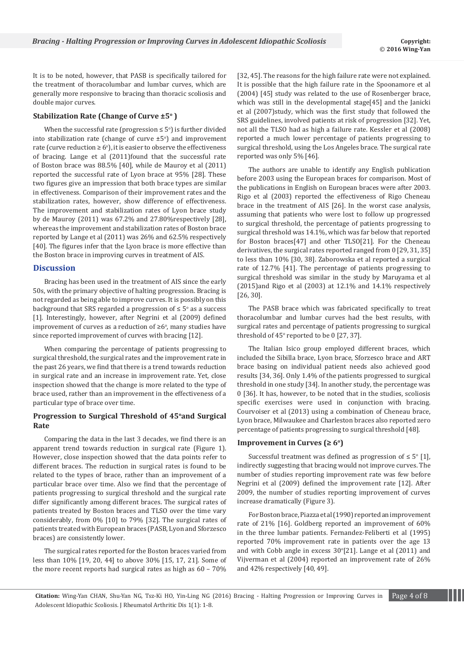It is to be noted, however, that PASB is specifically tailored for the treatment of thoracolumbar and lumbar curves, which are generally more responsive to bracing than thoracic scoliosis and double major curves.

## **Stabilization Rate (Change of Curve ±5<sup>o</sup> )**

When the successful rate (progression  $\leq 5^{\circ}$ ) is further divided into stabilization rate (change of curve  $\pm 5^{\circ}$ ) and improvement rate (curve reduction  $\geq 6^{\circ}$ ), it is easier to observe the effectiveness of bracing. Lange et al (2011)found that the successful rate of Boston brace was 88.5% [40], while de Mauroy et al (2011) reported the successful rate of Lyon brace at 95% [28]. These two figures give an impression that both brace types are similar in effectiveness. Comparison of their improvement rates and the stabilization rates, however, show difference of effectiveness. The improvement and stabilization rates of Lyon brace study by de Mauroy (2011) was 67.2% and 27.80%respectively [28], whereas the improvement and stabilization rates of Boston brace reported by Lange et al (2011) was 26% and 62.5% respectively [40]. The figures infer that the Lyon brace is more effective than the Boston brace in improving curves in treatment of AIS.

## **Discussion**

Bracing has been used in the treatment of AIS since the early 50s, with the primary objective of halting progression. Bracing is not regarded as being able to improve curves. It is possibly on this background that SRS regarded a progression of  $\leq 5^{\circ}$  as a success [1]. Interestingly, however, after Negrini et al (2009) defined improvement of curves as a reduction of  $\geq 6^{\circ}$ , many studies have since reported improvement of curves with bracing [12].

When comparing the percentage of patients progressing to surgical threshold, the surgical rates and the improvement rate in the past 26 years, we find that there is a trend towards reduction in surgical rate and an increase in improvement rate. Yet, close inspection showed that the change is more related to the type of brace used, rather than an improvement in the effectiveness of a particular type of brace over time.

## **Progression to Surgical Threshold of 45<sup>o</sup>and Surgical Rate**

Comparing the data in the last 3 decades, we find there is an apparent trend towards reduction in surgical rate (Figure 1). However, close inspection showed that the data points refer to different braces. The reduction in surgical rates is found to be related to the types of brace, rather than an improvement of a particular brace over time. Also we find that the percentage of patients progressing to surgical threshold and the surgical rate differ significantly among different braces. The surgical rates of patients treated by Boston braces and TLSO over the time vary considerably, from 0% [10] to 79% [32]. The surgical rates of patients treated with European braces (PASB, Lyon and Sforzesco braces) are consistently lower.

The surgical rates reported for the Boston braces varied from less than 10% [19, 20, 44] to above 30% [15, 17, 21]. Some of the more recent reports had surgical rates as high as 60 – 70%

[32, 45]. The reasons for the high failure rate were not explained. It is possible that the high failure rate in the Spoonamore et al (2004) [45] study was related to the use of Rosenberger brace, which was still in the developmental stage[45] and the Janicki et al (2007)study, which was the first study that followed the SRS guidelines, involved patients at risk of progression [32]. Yet, not all the TLSO had as high a failure rate. Kessler et al (2008) reported a much lower percentage of patients progressing to surgical threshold, using the Los Angeles brace. The surgical rate reported was only 5% [46].

The authors are unable to identify any English publication before 2003 using the European braces for comparison. Most of the publications in English on European braces were after 2003. Rigo et al (2003) reported the effectiveness of Rigo Cheneau brace in the treatment of AIS [26]. In the worst case analysis, assuming that patients who were lost to follow up progressed to surgical threshold, the percentage of patients progressing to surgical threshold was 14.1%, which was far below that reported for Boston braces[47] and other TLSO[21]. For the Cheneau derivatives, the surgical rates reported ranged from 0 [29, 31, 35] to less than 10% [30, 38]. Zaborowska et al reported a surgical rate of 12.7% [41]. The percentage of patients progressing to surgical threshold was similar in the study by Maruyama et al (2015)and Rigo et al (2003) at 12.1% and 14.1% respectively [26, 30].

The PASB brace which was fabricated specifically to treat thoracolumbar and lumbar curves had the best results, with surgical rates and percentage of patients progressing to surgical threshold of  $45^\circ$  reported to be 0 [27, 37].

The Italian Isico group employed different braces, which included the Sibilla brace, Lyon brace, Sforzesco brace and ART brace basing on individual patient needs also achieved good results [34, 36]. Only 1.4% of the patients progressed to surgical threshold in one study [34]. In another study, the percentage was 0 [36]. It has, however, to be noted that in the studies, scoliosis specific exercises were used in conjunction with bracing. Courvoiser et al (2013) using a combination of Cheneau brace, Lyon brace, Milwaukee and Charleston braces also reported zero percentage of patients progressing to surgical threshold [48].

## **Improvement in Curves (** $\geq 6^\circ$ **)**

Successful treatment was defined as progression of  $\leq 5^{\circ}$  [1], indirectly suggesting that bracing would not improve curves. The number of studies reporting improvement rate was few before Negrini et al (2009) defined the improvement rate [12]. After 2009, the number of studies reporting improvement of curves increase dramatically (Figure 3).

For Boston brace, Piazza et al (1990) reported an improvement rate of 21% [16]. Goldberg reported an improvement of 60% in the three lumbar patients. Fernandez-Feliberti et al (1995) reported 70% improvement rate in patients over the age 13 and with Cobb angle in excess  $30^{\circ}[21]$ . Lange et al (2011) and Vijverman et al (2004) reported an improvement rate of 26% and 42% respectively [40, 49].

**Citation:** Wing-Yan CHAN, Shu-Yan NG, Tsz-Ki HO, Yin-Ling NG (2016) Bracing - Halting Progression or Improving Curves in Page 4 of 8 Adolescent Idiopathic Scoliosis. J Rheumatol Arthritic Dis 1(1): 1-8.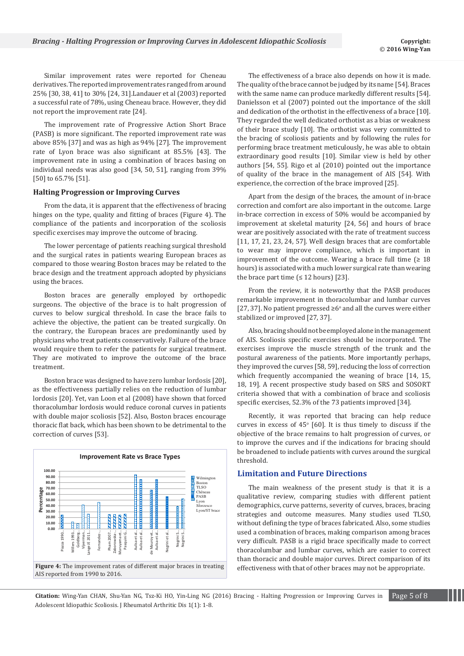Similar improvement rates were reported for Cheneau derivatives. The reported improvement rates ranged from around 25% [30, 38, 41] to 30% [24, 31].Landauer et al (2003) reported a successful rate of 78%, using Cheneau brace. However, they did not report the improvement rate [24].

The improvement rate of Progressive Action Short Brace (PASB) is more significant. The reported improvement rate was above 85% [37] and was as high as 94% [27]. The improvement rate of Lyon brace was also significant at 85.5% [43]. The improvement rate in using a combination of braces basing on individual needs was also good [34, 50, 51], ranging from 39% [50] to 65.7% [51].

#### **Halting Progression or Improving Curves**

From the data, it is apparent that the effectiveness of bracing hinges on the type, quality and fitting of braces (Figure 4). The compliance of the patients and incorporation of the scoliosis specific exercises may improve the outcome of bracing.

The lower percentage of patients reaching surgical threshold and the surgical rates in patients wearing European braces as compared to those wearing Boston braces may be related to the brace design and the treatment approach adopted by physicians using the braces.

Boston braces are generally employed by orthopedic surgeons. The objective of the brace is to halt progression of curves to below surgical threshold. In case the brace fails to achieve the objective, the patient can be treated surgically. On the contrary, the European braces are predominantly used by physicians who treat patients conservatively. Failure of the brace would require them to refer the patients for surgical treatment. They are motivated to improve the outcome of the brace treatment.

Boston brace was designed to have zero lumbar lordosis [20], as the effectiveness partially relies on the reduction of lumbar lordosis [20]. Yet, van Loon et al (2008) have shown that forced thoracolumbar lordosis would reduce coronal curves in patients with double major scoliosis [52]. Also, Boston braces encourage thoracic flat back, which has been shown to be detrimental to the correction of curves [53].



The effectiveness of a brace also depends on how it is made. The quality of the brace cannot be judged by its name [54]. Braces with the same name can produce markedly different results [54]. Danielsson et al (2007) pointed out the importance of the skill and dedication of the orthotist in the effectiveness of a brace [10]. They regarded the well dedicated orthotist as a bias or weakness of their brace study [10]. The orthotist was very committed to the bracing of scoliosis patients and by following the rules for performing brace treatment meticulously, he was able to obtain extraordinary good results [10]. Similar view is held by other authors [54, 55]. Rigo et al (2010) pointed out the importance of quality of the brace in the management of AIS [54]. With experience, the correction of the brace improved [25].

Apart from the design of the braces, the amount of in-brace correction and comfort are also important in the outcome. Large in-brace correction in excess of 50% would be accompanied by improvement at skeletal maturity [24, 56] and hours of brace wear are positively associated with the rate of treatment success [11, 17, 21, 23, 24, 57]. Well design braces that are comfortable to wear may improve compliance, which is important in improvement of the outcome. Wearing a brace full time  $(≥ 18$ hours) is associated with a much lower surgical rate than wearing the brace part time  $(≤ 12 hours)$  [23].

From the review, it is noteworthy that the PASB produces remarkable improvement in thoracolumbar and lumbar curves [27, 37]. No patient progressed  $\geq 6^{\circ}$  and all the curves were either stabilized or improved [27, 37].

Also, bracing should not be employed alone in the management of AIS. Scoliosis specific exercises should be incorporated. The exercises improve the muscle strength of the trunk and the postural awareness of the patients. More importantly perhaps, they improved the curves [58, 59], reducing the loss of correction which frequently accompanied the weaning of brace [14, 15, 18, 19]. A recent prospective study based on SRS and SOSORT criteria showed that with a combination of brace and scoliosis specific exercises, 52.3% of the 73 patients improved [34].

Recently, it was reported that bracing can help reduce curves in excess of  $45^{\circ}$  [60]. It is thus timely to discuss if the objective of the brace remains to halt progression of curves, or to improve the curves and if the indications for bracing should be broadened to include patients with curves around the surgical threshold.

## **Limitation and Future Directions**

The main weakness of the present study is that it is a qualitative review, comparing studies with different patient demographics, curve patterns, severity of curves, braces, bracing strategies and outcome measures. Many studies used TLSO, without defining the type of braces fabricated. Also, some studies used a combination of braces, making comparison among braces very difficult. PASB is a rigid brace specifically made to correct thoracolumbar and lumbar curves, which are easier to correct than thoracic and double major curves. Direct comparison of its effectiveness with that of other braces may not be appropriate.

**Citation:** Wing-Yan CHAN, Shu-Yan NG, Tsz-Ki HO, Yin-Ling NG (2016) Bracing - Halting Progression or Improving Curves in Page 5 of 8 Adolescent Idiopathic Scoliosis. J Rheumatol Arthritic Dis 1(1): 1-8.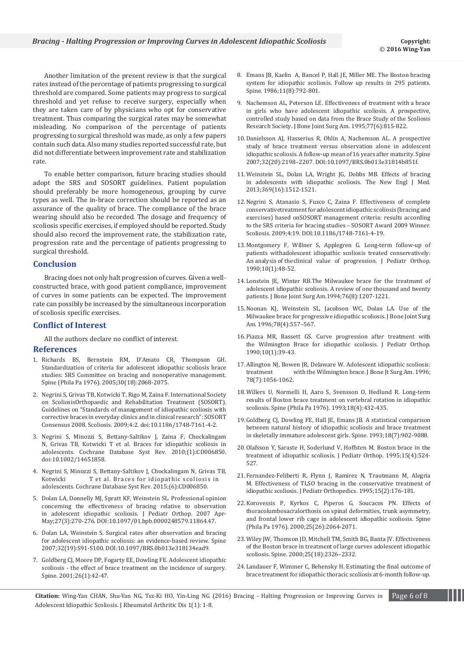Another limitation of the present review is that the surgical rates instead of the percentage of patients progressing to surgical threshold are compared. Some patients may progress to surgical threshold and yet refuse to receive surgery, especially when they are taken care of by physicians who opt for conservative treatment. Thus comparing the surgical rates may be somewhat misleading. No comparison of the percentage of patients progressing to surgical threshold was made, as only a few papers contain such data. Also many studies reported successful rate, but did not differentiate between improvement rate and stabilization rate.

To enable better comparison, future bracing studies should adopt the SRS and SOSORT guidelines. Patient population should preferably be more homogeneous, grouping by curve types as well. The in-brace correction should be reported as an assurance of the quality of brace. The compliance of the brace wearing should also be recorded. The dosage and frequency of scoliosis specific exercises, if employed should be reported. Study should also record the improvement rate, the stabilization rate, progression rate and the percentage of patients progressing to surgical threshold.

#### **Conclusion**

Bracing does not only halt progression of curves. Given a wellconstructed brace, with good patient compliance, improvement of curves in some patients can be expected. The improvement rate can possibly be increased by the simultaneous incorporation of scoliosis specific exercises.

#### **Conflict of Interest**

All the authors declare no conflict of interest.

#### **References**

- 1. [Richards BS, Bernstein RM, D'Amato CR, Thompson GH.](http://www.ncbi.nlm.nih.gov/pubmed/16166897)  [Standardization of criteria for adolescent idiopathic scoliosis brace](http://www.ncbi.nlm.nih.gov/pubmed/16166897)  [studies: SRS Committee on bracing and nonoperative management.](http://www.ncbi.nlm.nih.gov/pubmed/16166897)  [Spine \(Phila Pa 1976\). 2005;30\(18\):2068-2075.](http://www.ncbi.nlm.nih.gov/pubmed/16166897)
- 2. [Negrini S, Grivas TB, Kotwicki T, Rigo M, Zaina F. International Society](http://www.ncbi.nlm.nih.gov/pubmed/19149877)  [on ScoliosisOrthopaedic and Rehabilitation Treatment \(SOSORT\).](http://www.ncbi.nlm.nih.gov/pubmed/19149877)  [Guidelines on "Standards of management of idiopathic scoliosis with](http://www.ncbi.nlm.nih.gov/pubmed/19149877)  [corrective braces in everyday clinics and in clinical research": SOSORT](http://www.ncbi.nlm.nih.gov/pubmed/19149877)  [Consensus 2008. Scoliosis. 2009;4:2. doi:10.1186/1748-7161-4-2.](http://www.ncbi.nlm.nih.gov/pubmed/19149877)
- 3. [Negrini S, Minozzi S, Bettany-Saltikov J, Zaina F, Chockalingam](http://www.ncbi.nlm.nih.gov/pubmed/20091609)  [N, Grivas TB, Kotwicki T et al. Braces for idiopathic scoliosis in](http://www.ncbi.nlm.nih.gov/pubmed/20091609)  [adolescents. Cochrane Database Syst Rev. 2010;\(1\):CD006850.](http://www.ncbi.nlm.nih.gov/pubmed/20091609)  [doi:10.1002/14651858.](http://www.ncbi.nlm.nih.gov/pubmed/20091609)
- 4. [Negrini S, Minozzi S, Bettany-Saltikov J, Chockalingam N, Grivas TB,](http://www.cochrane.org/CD006850/BACK_braces-for-idiopathic-scoliosis-in-adolescents)  [Kotwicki T et al. Braces for idiopathic scoliosis in](http://www.cochrane.org/CD006850/BACK_braces-for-idiopathic-scoliosis-in-adolescents)  [adolescents. Cochrane Database Syst Rev. 2015;\(6\):CD006850.](http://www.cochrane.org/CD006850/BACK_braces-for-idiopathic-scoliosis-in-adolescents)
- 5. [Dolan LA, Donnelly MJ, Spratt KF, Weinstein SL. Professional opinion](http://www.ncbi.nlm.nih.gov/pubmed/17414008)  [concerning the effectiveness of bracing relative to observation](http://www.ncbi.nlm.nih.gov/pubmed/17414008)  [in adolescent idiopathic scoliosis. J Pediatr Orthop. 2007 Apr-](http://www.ncbi.nlm.nih.gov/pubmed/17414008)[May;27\(3\):270-276. DOI:10.1097/01.bpb.0000248579.11864.47.](http://www.ncbi.nlm.nih.gov/pubmed/17414008)
- 6. [Dolan LA, Weinstein S. Surgical rates after observation and bracing](http://www.ncbi.nlm.nih.gov/pubmed/17728687)  [for adolescent idiopathic scoliosis: an evidence-based review. Spine](http://www.ncbi.nlm.nih.gov/pubmed/17728687)  [2007;32\(19\):S91-S100. DOI:10.1097/BRS.0b013e318134ead9.](http://www.ncbi.nlm.nih.gov/pubmed/17728687)
- 7. [Goldberg CJ, Moore DP, Fogarty EE, Dowling FE. Adolescent idiopathic](http://www.ncbi.nlm.nih.gov/pubmed/11148644)  [scoliosis - the effect of brace treatment on the incidence of surgery.](http://www.ncbi.nlm.nih.gov/pubmed/11148644)  [Spine. 2001;26\(1\):42-47.](http://www.ncbi.nlm.nih.gov/pubmed/11148644)
- 8. [Emans JB, Kaelin A, Bancel P, Hall JE, Miller ME. The Boston bracing](http://www.ncbi.nlm.nih.gov/pubmed/3810295)  [system for idiopathic scoliosis. Follow up results in 295 patients.](http://www.ncbi.nlm.nih.gov/pubmed/3810295)  [Spine. 1986;11\(8\):792-801.](http://www.ncbi.nlm.nih.gov/pubmed/3810295)
- 9. [Nachemson AL, Peterson LE. Effectiveness of treatment with a brace](http://www.ncbi.nlm.nih.gov/pubmed/7782353)  [in girls who have adolescent idiopathic scoliosis. A prospective,](http://www.ncbi.nlm.nih.gov/pubmed/7782353)  [controlled study based on data from the Brace Study of the Scoliosis](http://www.ncbi.nlm.nih.gov/pubmed/7782353)  [Research Society. J Bone Joint Surg Am. 1995;77\(6\):815-822.](http://www.ncbi.nlm.nih.gov/pubmed/7782353)
- 10. [Danielsson AJ, Hasserius R, Ohlin A, Nachemson AL. A prospective](http://www.ncbi.nlm.nih.gov/pubmed/17873811)  [study of brace treatment versus observation alone in adolescent](http://www.ncbi.nlm.nih.gov/pubmed/17873811)  [idiopathic scoliosis. A follow-up mean of 16 years after maturity. Spine](http://www.ncbi.nlm.nih.gov/pubmed/17873811)  [2007;32\(20\):2198–2207. DOI:10.1097/BRS.0b013e31814b851f.](http://www.ncbi.nlm.nih.gov/pubmed/17873811)
- 11. [Weinstein SL, Dolan LA, Wright JG, Dobbs MB. Effects of bracing](http://www.nejm.org/doi/pdf/10.1056/NEJMoa1307337)  [in adolescents with idiopathic scoliosis. The New Engl J Med.](http://www.nejm.org/doi/pdf/10.1056/NEJMoa1307337)  [2013;369\(16\):1512-1521.](http://www.nejm.org/doi/pdf/10.1056/NEJMoa1307337)
- 12. [Negrini S, Atanasio S, Fusco C, Zaina F. Effectiveness of complete](https://scoliosisjournal.biomedcentral.com/articles/10.1186/1748-7161-4-19)  [conservativetreatment for adolescent idiopathic scoliosis \(bracing and](https://scoliosisjournal.biomedcentral.com/articles/10.1186/1748-7161-4-19)  [exercises\) based onSOSORT management criteria: results according](https://scoliosisjournal.biomedcentral.com/articles/10.1186/1748-7161-4-19)  [to the SRS criteria for bracing studies – SOSORT Award 2009 Winner.](https://scoliosisjournal.biomedcentral.com/articles/10.1186/1748-7161-4-19)  [Scoliosis. 2009;4:19. DOI:10.1186/1748-7161-4-19.](https://scoliosisjournal.biomedcentral.com/articles/10.1186/1748-7161-4-19)
- 13. [Montgomery F, Willner S, Applegren G. Long-term follow-up of](http://www.ncbi.nlm.nih.gov/pubmed/2298895)  [patients withadolescent idiopathic scoliosis treated conservatively:](http://www.ncbi.nlm.nih.gov/pubmed/2298895)  [An analysis of the clinical value of progression. J Pediatr Orthop.](http://www.ncbi.nlm.nih.gov/pubmed/2298895)  [1990;10\(1\):48-52.](http://www.ncbi.nlm.nih.gov/pubmed/2298895)
- 14. [Lonstein JE, Winter RB.The Milwaukee brace for the treatment of](http://www.ncbi.nlm.nih.gov/pubmed/8056801)  [adolescent idiopathic scoliosis. A review of one thousand and twenty](http://www.ncbi.nlm.nih.gov/pubmed/8056801)  [patients. J Bone Joint Surg Am.1994;76\(8\):1207-1221.](http://www.ncbi.nlm.nih.gov/pubmed/8056801)
- 15. [Noonan KJ, Weinstein SL, Jacobson WC, Dolan LA. Use of the](http://www.ncbi.nlm.nih.gov/pubmed/8609134)  [Milwaukee brace for progressive idiopathic scoliosis. J Bone Joint Surg](http://www.ncbi.nlm.nih.gov/pubmed/8609134)  [Am. 1996;78\(4\):557–567.](http://www.ncbi.nlm.nih.gov/pubmed/8609134)
- 16. [Piazza MR, Bassett GS. Curve progression after treatment with](http://www.ncbi.nlm.nih.gov/pubmed/2298893)  [the Wilmington Brace for idiopathic scoliosis. J Pediatr Orthop.](http://www.ncbi.nlm.nih.gov/pubmed/2298893)  [1990;10\(1\):39-43.](http://www.ncbi.nlm.nih.gov/pubmed/2298893)
- 17. [Allington NJ, Bowen JR, Delaware W. Adolescent idiopathic scoliosis:](http://www.ncbi.nlm.nih.gov/pubmed/8698723)  treatment with the Wilmington brace. J Bone Jt Surg Am. 1996; [78\(7\):1056-1062.](http://www.ncbi.nlm.nih.gov/pubmed/8698723)
- 18. [Willers U, Normelli H, Aaro S, Svensson O, Hedlund R. Long-term](http://www.ncbi.nlm.nih.gov/pubmed/8470002)  [results of Boston brace treatment on vertebral rotation in idiopathic](http://www.ncbi.nlm.nih.gov/pubmed/8470002)  [scoliosis. Spine \(Phila Pa 1976\). 1993;18\(4\):432-435.](http://www.ncbi.nlm.nih.gov/pubmed/8470002)
- 19. [Goldberg CJ, Dowling FE, Hall JE, Emans JB. A statistical comparison](http://www.ncbi.nlm.nih.gov/pubmed/8316891)  [between natural history of idiopathic scoliosis and brace treatment](http://www.ncbi.nlm.nih.gov/pubmed/8316891)  [in skeletally immature adolescent girls. Spine. 1993;18\(7\):902-9088.](http://www.ncbi.nlm.nih.gov/pubmed/8316891)
- 20. [Olafsson Y, Saraste H, Soderlund V, Hoffsten M. Boston brace in the](http://www.ncbi.nlm.nih.gov/pubmed/7560048)  [treatment of idiopathic scoliosis. J Pediatr Orthop. 1995;15\(4\):524-](http://www.ncbi.nlm.nih.gov/pubmed/7560048) [527.](http://www.ncbi.nlm.nih.gov/pubmed/7560048)
- 21. [Fernandez-Feliberti R, Flynn J, Ramirez N, Trautmann M, Alegria](http://www.ncbi.nlm.nih.gov/pubmed/7745089)  [M. Effectiveness of TLSO bracing in the conservative treatment of](http://www.ncbi.nlm.nih.gov/pubmed/7745089)  [idiopathic scoliosis. J Pediatr Orthopedics. 1995;15\(2\):176-181.](http://www.ncbi.nlm.nih.gov/pubmed/7745089)
- 22. [Korovessis P, Kyrkos C, Piperos G, Soucacos PN. Effects of](http://www.ncbi.nlm.nih.gov/pubmed/10954637)  [thoracolumbosacralorthosis on spinal deformities, trunk asymmetry,](http://www.ncbi.nlm.nih.gov/pubmed/10954637)  [and frontal lower rib cage in adolescent idiopathic scoliosis. Spine](http://www.ncbi.nlm.nih.gov/pubmed/10954637)  [\(Phila Pa 1976\). 2000;25\(26\):2064-2071.](http://www.ncbi.nlm.nih.gov/pubmed/10954637)
- 23. [Wiley JW, Thomson JD, Mitchell TM, Smith BG, Banta JV. Effectiveness](http://www.ncbi.nlm.nih.gov/pubmed/10984784)  [of the Boston brace in treatment of large curves adolescent idiopathic](http://www.ncbi.nlm.nih.gov/pubmed/10984784)  [scoliosis. Spine. 2000;25\(18\):2326–2332.](http://www.ncbi.nlm.nih.gov/pubmed/10984784)
- 24. [Landauer F, Wimmer C, Behensky H. Estimating the final outcome of](http://www.ncbi.nlm.nih.gov/pubmed/14713586)  [brace treatment for idiopathic thoracic scoliosis at 6-month follow-up.](http://www.ncbi.nlm.nih.gov/pubmed/14713586)

**Citation:** Wing-Yan CHAN, Shu-Yan NG, Tsz-Ki HO, Yin-Ling NG (2016) Bracing - Halting Progression or Improving Curves in Page 6 of 8 Adolescent Idiopathic Scoliosis. J Rheumatol Arthritic Dis 1(1): 1-8.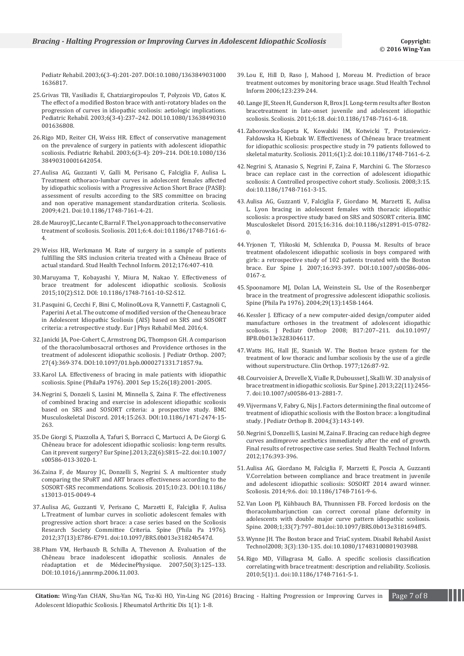[Pediatr Rehabil. 2003;6\(3-4\):201-207. DOI:10.1080/1363849031000](http://www.ncbi.nlm.nih.gov/pubmed/14713586) [1636817.](http://www.ncbi.nlm.nih.gov/pubmed/14713586)

- 25. [Grivas TB, Vasiliadis E, Chatziargiropoulos T, Polyzois VD, Gatos K.](http://www.ncbi.nlm.nih.gov/pubmed/14713591)  [The effect of a modified Boston brace with anti-rotatory blades on the](http://www.ncbi.nlm.nih.gov/pubmed/14713591)  [progression of curves in idiopathic scoliosis: aetiologic implications.](http://www.ncbi.nlm.nih.gov/pubmed/14713591)  [Pediatric Rehabil. 2003;6\(3-4\):237–242. DOI.10.1080/13638490310](http://www.ncbi.nlm.nih.gov/pubmed/14713591) [001636808.](http://www.ncbi.nlm.nih.gov/pubmed/14713591)
- 26. [Rigo MD, Reiter CH, Weiss HR. Effect of conservative management](http://www.ncbi.nlm.nih.gov/pubmed/14713587)  [on the prevalence of surgery in patients with adolescent idiopathic](http://www.ncbi.nlm.nih.gov/pubmed/14713587)  [scoliosis. Pediatric Rehabil. 2003;6\(3-4\): 209–214. DOI:10.1080/136](http://www.ncbi.nlm.nih.gov/pubmed/14713587) [38490310001642054.](http://www.ncbi.nlm.nih.gov/pubmed/14713587)
- 27. Aulisa AG, Guzzanti V, Galli M, Perisano C, Falciglia F, Aulisa L. Treatment ofthoraco-lumbar curves in adolescent females affected by idiopathic scoliosis with a Progressive Action Short Brace (PASB): assessment of results according to the SRS committee on bracing and non operative management standardization criteria. Scoliosis. 2009;4:21. Doi:10.1186/1748-7161-4-21.
- 28. [de Mauroy JC, Lecante C, Barral F. The Lyon approach to the conservative](http://www.ncbi.nlm.nih.gov/pubmed/21418597)  [treatment of scoliosis. Scoliosis. 2011;6:4. doi:10.1186/1748-7161-6-](http://www.ncbi.nlm.nih.gov/pubmed/21418597) [4.](http://www.ncbi.nlm.nih.gov/pubmed/21418597)
- 29. [Weiss HR, Werkmann M. Rate of surgery in a sample of patients](http://www.ncbi.nlm.nih.gov/pubmed/22744540)  [fulfilling the SRS inclusion criteria treated with a Chêneau Brace of](http://www.ncbi.nlm.nih.gov/pubmed/22744540)  [actual standard. Stud Health Technol Inform. 2012;176:407-410.](http://www.ncbi.nlm.nih.gov/pubmed/22744540)
- 30. [Maruyama T, Kobayashi Y, Miura M, Nakao Y. Effectiveness of](https://scoliosisjournal.biomedcentral.com/articles/10.1186/1748-7161-10-S2-S12)  [brace treatment for adolescent idiopathic scoliosis. Scoliosis](https://scoliosisjournal.biomedcentral.com/articles/10.1186/1748-7161-10-S2-S12)  [2015;10\(2\):S12. DOI: 10.1186/1748-7161-10-S2-S12.](https://scoliosisjournal.biomedcentral.com/articles/10.1186/1748-7161-10-S2-S12)
- 31. [Pasquini G, Cecchi F, Bini C, Molino0Lova R, Vannetti F, Castagnoli C,](http://www.ncbi.nlm.nih.gov/pubmed/27145218)  [Paperini A et al. The outcome of modified version of the Cheneau brace](http://www.ncbi.nlm.nih.gov/pubmed/27145218)  [in Adolescent Idiopathic Scoliosis \(AIS\) based on SRS and SOSORT](http://www.ncbi.nlm.nih.gov/pubmed/27145218)  [criteria: a retrospective study. Eur J Phys Rehabil Med. 2016;4.](http://www.ncbi.nlm.nih.gov/pubmed/27145218)
- 32. [Janicki JA, Poe-Cohert C, Armstrong DG, Thompson GH. A comparison](http://www.ncbi.nlm.nih.gov/pubmed/17513954)  [of the thoracolumbosacral orthoses and Providence orthoses in the](http://www.ncbi.nlm.nih.gov/pubmed/17513954)  [treatment of adolescent idiopathic scoliosis. J Pediatr Orthop. 2007;](http://www.ncbi.nlm.nih.gov/pubmed/17513954)  [27\(4\):369-374. DOI:10.1097/01.bpb.0000271331.71857.9a.](http://www.ncbi.nlm.nih.gov/pubmed/17513954)
- 33. [Karol LA. Effectiveness of bracing in male patients with idiopathic](http://www.ncbi.nlm.nih.gov/pubmed/11547200)  [scoliosis. Spine \(PhilaPa 1976\). 2001 Sep 15;26\(18\):2001-2005.](http://www.ncbi.nlm.nih.gov/pubmed/11547200)
- 34. [Negrini S, Donzeli S, Lusini M, Minnella S, Zaina F. The effectiveness](http://bmcmusculoskeletdisord.biomedcentral.com/articles/10.1186/1471-2474-15-263)  [of combined bracing and exercise in adolescent idiopathic scoliosis](http://bmcmusculoskeletdisord.biomedcentral.com/articles/10.1186/1471-2474-15-263)  [based on SRS and SOSORT criteria: a prospective study. BMC](http://bmcmusculoskeletdisord.biomedcentral.com/articles/10.1186/1471-2474-15-263)  [Musculoskeletal Discord. 2014;15:263. DOI:10.1186/1471-2474-15-](http://bmcmusculoskeletdisord.biomedcentral.com/articles/10.1186/1471-2474-15-263) [263.](http://bmcmusculoskeletdisord.biomedcentral.com/articles/10.1186/1471-2474-15-263)
- 35. [De Giorgi S, Piazzolla A, Tafuri S, Borracci C, Martucci A, De Giorgi G.](http://www.ncbi.nlm.nih.gov/pubmed/24043341)  [Chêneau brace for adolescent idiopathic scoliosis: long-term results.](http://www.ncbi.nlm.nih.gov/pubmed/24043341)  [Can it prevent surgery? Eur Spine J.2013;22\(6\):S815–22. doi:10.1007/](http://www.ncbi.nlm.nih.gov/pubmed/24043341) [s00586-013-3020-1.](http://www.ncbi.nlm.nih.gov/pubmed/24043341)
- 36. [Zaina F, de Mauroy JC, Donzelli S, Negrini S. A multicenter study](https://scoliosisjournal.biomedcentral.com/articles/10.1186/s13013-015-0049-4)  [comparing the SPoRT and ART braces effectiveness according to the](https://scoliosisjournal.biomedcentral.com/articles/10.1186/s13013-015-0049-4)  [SOSORT-SRS recommendations. Scoliosis. 2015;10:23. DOI:10.1186/](https://scoliosisjournal.biomedcentral.com/articles/10.1186/s13013-015-0049-4) [s13013-015-0049-4](https://scoliosisjournal.biomedcentral.com/articles/10.1186/s13013-015-0049-4)
- 37. [Aulisa AG, Guzzanti V, Perisano C, Marzetti E, Falciglia F, Aulisa](http://www.ncbi.nlm.nih.gov/pubmed/22281476)  [L.Treatment of lumbar curves in scoliotic adolescent females with](http://www.ncbi.nlm.nih.gov/pubmed/22281476)  [progressive action short brace: a case series based on the Scoliosis](http://www.ncbi.nlm.nih.gov/pubmed/22281476)  [Research Society Committee Criteria. Spine \(Phila Pa 1976\).](http://www.ncbi.nlm.nih.gov/pubmed/22281476)  [2012;37\(13\):E786-E791. doi:10.1097/BRS.0b013e31824b547d.](http://www.ncbi.nlm.nih.gov/pubmed/22281476)
- 38. [Pham VM, Herbauxb B, Schilla A, Thevenon A. Evaluation of the](http://www.ncbi.nlm.nih.gov/pubmed/17174434)  [Chêneau brace inadolescent idiopathic scoliosis. Annales de](http://www.ncbi.nlm.nih.gov/pubmed/17174434)  [réadaptation et de MédecinePhysique. 2007;50\(3\):125–133.](http://www.ncbi.nlm.nih.gov/pubmed/17174434)  [DOI:10.1016/j.annrmp.2006.11.003.](http://www.ncbi.nlm.nih.gov/pubmed/17174434)
- 39. [Lou E, Hill D, Raso J, Mahood J, Moreau M. Prediction of brace](http://www.ncbi.nlm.nih.gov/pubmed/17108433)  [treatment outcomes by monitoring brace usage. Stud Health Technol](http://www.ncbi.nlm.nih.gov/pubmed/17108433)  [Inform 2006;123:239-244.](http://www.ncbi.nlm.nih.gov/pubmed/17108433)
- 40. [Lange JE, Steen H, Gunderson R, Brox JI. Long-term results after Boston](http://www.ncbi.nlm.nih.gov/pubmed/21880123)  [bracetreatment in late-onset juvenile and adolescent idiopathic](http://www.ncbi.nlm.nih.gov/pubmed/21880123)  [scoliosis. Scoliosis. 2011;6:18. doi:10.1186/1748-7161-6-18.](http://www.ncbi.nlm.nih.gov/pubmed/21880123)
- 41. Zaborowska-Sapeta K, Kowalski IM, Kotwicki T, Protasiewicz-Fałdowska H, Kiebzak W. Effectiveness of Chêneau brace treatment for idiopathic scoliosis: prospective study in 79 patients followed to skeletal maturity. Scoliosis. 2011;6(1):2. doi:10.1186/1748-7161-6-2.
- 42. [Negrini S, Atanasio S, Negrini F, Zaina F, Marchini G. The Sforzesco](http://www.ncbi.nlm.nih.gov/pubmed/18976485)  [brace can replace cast in the correction of adolescent idiopathic](http://www.ncbi.nlm.nih.gov/pubmed/18976485)  [scoliosis: A Controlled prospective cohort study. Scoliosis. 2008;3:15.](http://www.ncbi.nlm.nih.gov/pubmed/18976485)  [doi:10.1186/1748-7161-3-15.](http://www.ncbi.nlm.nih.gov/pubmed/18976485)
- 43. [Aulisa AG, Guzzanti V, Falciglia F, Giordano M, Marzetti E, Aulisa](http://www.ncbi.nlm.nih.gov/pmc/articles/PMC4619531/)  [L. Lyon bracing in adolescent females with thoracic idiopathic](http://www.ncbi.nlm.nih.gov/pmc/articles/PMC4619531/)  [scoliosis: a prospective study based on SRS and SOSORT criteria. BMC](http://www.ncbi.nlm.nih.gov/pmc/articles/PMC4619531/)  [Musculoskelet Disord. 2015;16:316. doi:10.1186/s12891-015-0782-](http://www.ncbi.nlm.nih.gov/pmc/articles/PMC4619531/) [0.](http://www.ncbi.nlm.nih.gov/pmc/articles/PMC4619531/)
- 44. [Yrjonen T, Ylikoski M, Schlenzka D, Poussa M. Results of brace](http://www.ncbi.nlm.nih.gov/pubmed/16909249)  [treatment ofadolescent idiopathic scoliosis in boys compared with](http://www.ncbi.nlm.nih.gov/pubmed/16909249)  [girls: a retrospective study of 102 patients treated with the Boston](http://www.ncbi.nlm.nih.gov/pubmed/16909249)  [brace. Eur Spine J. 2007;16:393-397. DOI:10.1007/s00586-006-](http://www.ncbi.nlm.nih.gov/pubmed/16909249) [0167-z.](http://www.ncbi.nlm.nih.gov/pubmed/16909249)
- 45. Spoonamore MJ, Dolan LA, Weinstein SL. Use of the Rosenberger brace in the treatment of progressive adolescent idiopathic scoliosis. Spine (Phila Pa 1976). 2004;29(13):1458-1464.
- 46. [Kessler J. Efficacy of a new computer-aided design/computer aided](http://www.ncbi.nlm.nih.gov/pubmed/18525480)  [manufacture orthoses in the treatment of adolescent idiopathic](http://www.ncbi.nlm.nih.gov/pubmed/18525480)  [scoliosis. J Pediatr Orthop 2008; B17:207–211. doi.10.1097/](http://www.ncbi.nlm.nih.gov/pubmed/18525480) [BPB.0b013e3283046117.](http://www.ncbi.nlm.nih.gov/pubmed/18525480)
- 47. [Watts HG, Hall JE, Stanish W. The Boston brace system for the](http://www.ncbi.nlm.nih.gov/pubmed/598144)  [treatment of low thoracic and lumbar scoliosis by the use of a girdle](http://www.ncbi.nlm.nih.gov/pubmed/598144)  [without superstructure. Clin Orthop. 1977;126:87-92.](http://www.ncbi.nlm.nih.gov/pubmed/598144)
- 48. [Courvoisier A, Drevelle X, Vialle R, Dubousset J, Skalli W. 3D analysis of](http://www.ncbi.nlm.nih.gov/pubmed/23812685)  [brace treatment in idiopathic scoliosis. Eur Spine J. 2013;22\(11\):2456-](http://www.ncbi.nlm.nih.gov/pubmed/23812685) [7. doi:10.1007/s00586-013-2881-7.](http://www.ncbi.nlm.nih.gov/pubmed/23812685)
- 49. [Vijvermans V, Fabry G, Nijs J. Factors determining the final outcome of](http://www.ncbi.nlm.nih.gov/pubmed/15083112)  [treatment of idiopathic scoliosis with the Boston brace: a longitudinal](http://www.ncbi.nlm.nih.gov/pubmed/15083112)  [study. J Pediatr Orthop B. 2004;\(3\):143-149.](http://www.ncbi.nlm.nih.gov/pubmed/15083112)
- 50. [Negrini S, Donzelli S, Lusini M, Zaina F. Bracing can reduce high degree](http://www.ncbi.nlm.nih.gov/pubmed/22744537)  [curves andimprove aesthetics immediately after the end of growth.](http://www.ncbi.nlm.nih.gov/pubmed/22744537)  [Final results of retrospective case series. Stud Health Technol Inform.](http://www.ncbi.nlm.nih.gov/pubmed/22744537)  [2012;176:393-396.](http://www.ncbi.nlm.nih.gov/pubmed/22744537)
- 51. [Aulisa AG, Giordano M, Falciglia F, Marzetti E, Poscia A, Guzzanti](http://www.ncbi.nlm.nih.gov/pubmed/24995038)  [V.Correlation between compliance and brace treatment in juvenile](http://www.ncbi.nlm.nih.gov/pubmed/24995038)  [and adolescent idiopathic scoliosis: SOSORT 2014 award winner.](http://www.ncbi.nlm.nih.gov/pubmed/24995038)  [Scoliosis. 2014;9:6. doi: 10.1186/1748-7161-9-6.](http://www.ncbi.nlm.nih.gov/pubmed/24995038)
- 52. [Van Loon PJ, Kühbauch BA, Thunnissen FB. Forced lordosis on the](http://www.ncbi.nlm.nih.gov/pubmed/18379408)  [thoracolumbarjunction can correct coronal plane deformity in](http://www.ncbi.nlm.nih.gov/pubmed/18379408)  [adolescents with double major curve pattern idiopathic scoliosis.](http://www.ncbi.nlm.nih.gov/pubmed/18379408)  [Spine. 2008;1;33\(7\):797–801.doi:10.1097/BRS.0b013e3181694ff5.](http://www.ncbi.nlm.nih.gov/pubmed/18379408)
- 53. [Wynne JH. The Boston brace and TriaC system. Disabil Rehabil Assist](http://www.ncbi.nlm.nih.gov/pubmed/18465395)  [Technol2008; 3\(3\):130-135. doi:10.1080/17483100801903988.](http://www.ncbi.nlm.nih.gov/pubmed/18465395)
- 54. [Rigo MD, Villagrasa M, Gallo. A specific scoliosis classification](http://www.ncbi.nlm.nih.gov/pubmed/20205842)  [correlating with brace treatment: description and reliability. Scoliosis.](http://www.ncbi.nlm.nih.gov/pubmed/20205842)  [2010;5\(1\):1. doi:10.1186/1748-7161-5-1.](http://www.ncbi.nlm.nih.gov/pubmed/20205842)

**Citation:** Wing-Yan CHAN, Shu-Yan NG, Tsz-Ki HO, Yin-Ling NG (2016) Bracing - Halting Progression or Improving Curves in Page 7 of 8 Adolescent Idiopathic Scoliosis. J Rheumatol Arthritic Dis 1(1): 1-8.